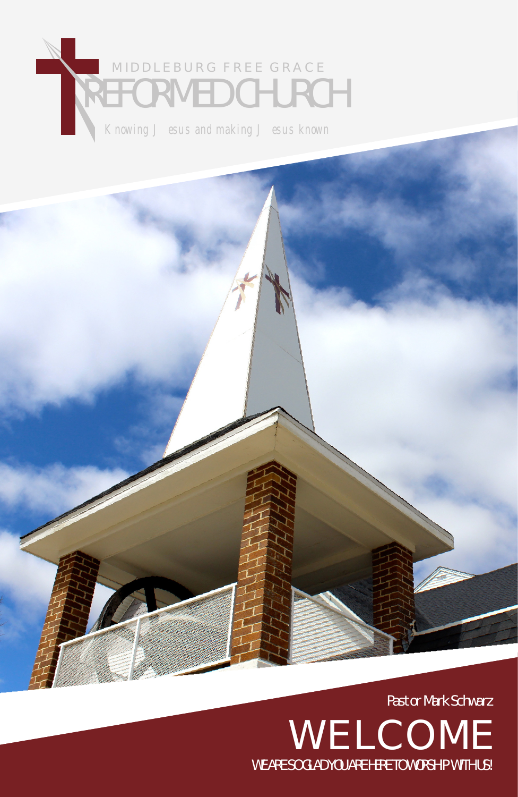# Knowing J esus and making J esus known FORMED CHURCH MIDDLEBURG FREE GRACE

Pastor Mark Schwarz WELCOME WE ARE SO GLAD YOU ARE HERE TO WORSHIP WITH US!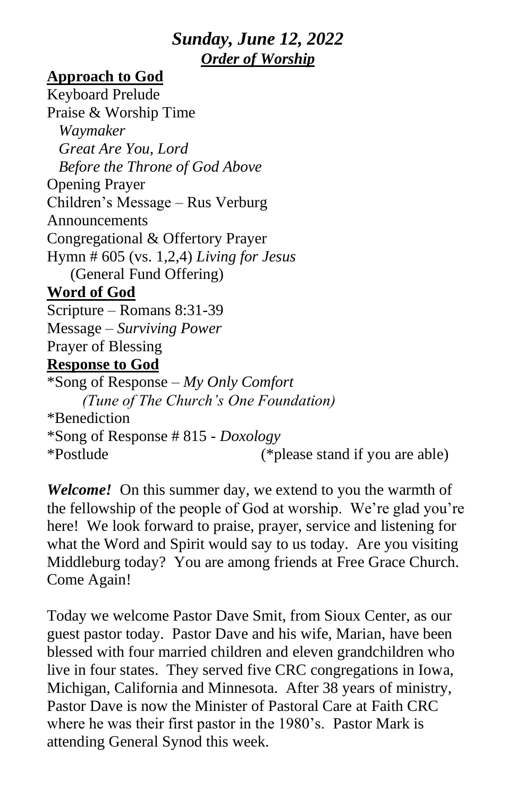# *Sunday, June 12, 2022 Order of Worship*

#### **Approach to God**

Keyboard Prelude Praise & Worship Time *Waymaker Great Are You, Lord Before the Throne of God Above* Opening Prayer Children's Message – Rus Verburg Announcements Congregational & Offertory Prayer Hymn # 605 (vs. 1,2,4) *Living for Jesus* (General Fund Offering) **Word of God** Scripture – Romans 8:31-39 Message – *Surviving Power* Prayer of Blessing **Response to God** \*Song of Response – *My Only Comfort (Tune of The Church's One Foundation)* \*Benediction \*Song of Response # 815 - *Doxology* \*Postlude (\*please stand if you are able)

*Welcome!* On this summer day, we extend to you the warmth of the fellowship of the people of God at worship. We're glad you're here! We look forward to praise, prayer, service and listening for what the Word and Spirit would say to us today. Are you visiting Middleburg today? You are among friends at Free Grace Church. Come Again!

Today we welcome Pastor Dave Smit, from Sioux Center, as our guest pastor today. Pastor Dave and his wife, Marian, have been blessed with four married children and eleven grandchildren who live in four states. They served five CRC congregations in Iowa, Michigan, California and Minnesota. After 38 years of ministry, Pastor Dave is now the Minister of Pastoral Care at Faith CRC where he was their first pastor in the 1980's. Pastor Mark is attending General Synod this week.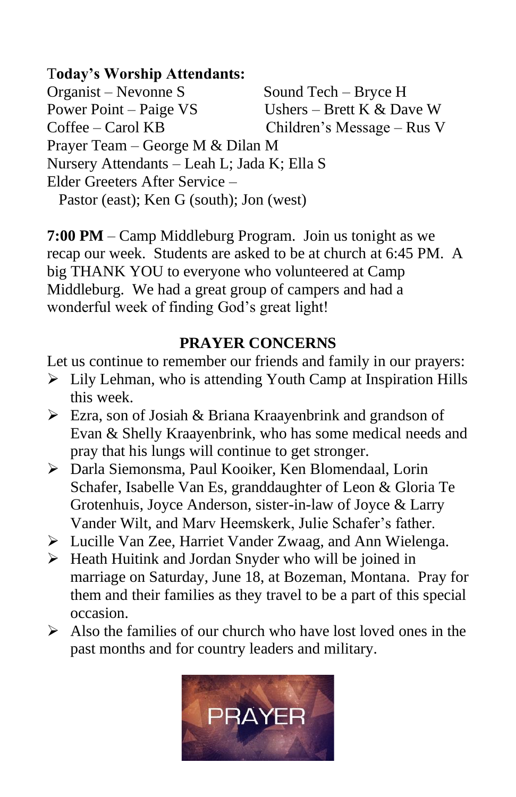## T**oday's Worship Attendants:**

Organist – Nevonne S Sound Tech – Bryce H Power Point – Paige VS Ushers – Brett K & Dave W Coffee – Carol KB Children's Message – Rus V Prayer Team – George M & Dilan M Nursery Attendants – Leah L; Jada K; Ella S Elder Greeters After Service – Pastor (east); Ken G (south); Jon (west)

**7:00 PM** – Camp Middleburg Program. Join us tonight as we recap our week. Students are asked to be at church at 6:45 PM. A big THANK YOU to everyone who volunteered at Camp Middleburg. We had a great group of campers and had a wonderful week of finding God's great light!

## **PRAYER CONCERNS**

Let us continue to remember our friends and family in our prayers:

- ➢ Lily Lehman, who is attending Youth Camp at Inspiration Hills this week.
- ➢ Ezra, son of Josiah & Briana Kraayenbrink and grandson of Evan & Shelly Kraayenbrink, who has some medical needs and pray that his lungs will continue to get stronger.
- ➢ Darla Siemonsma, Paul Kooiker, Ken Blomendaal, Lorin Schafer, Isabelle Van Es, granddaughter of Leon & Gloria Te Grotenhuis, Joyce Anderson, sister-in-law of Joyce & Larry Vander Wilt, and Marv Heemskerk, Julie Schafer's father.
- ➢ Lucille Van Zee, Harriet Vander Zwaag, and Ann Wielenga.
- ➢ Heath Huitink and Jordan Snyder who will be joined in marriage on Saturday, June 18, at Bozeman, Montana. Pray for them and their families as they travel to be a part of this special occasion.
- $\triangleright$  Also the families of our church who have lost loved ones in the past months and for country leaders and military.

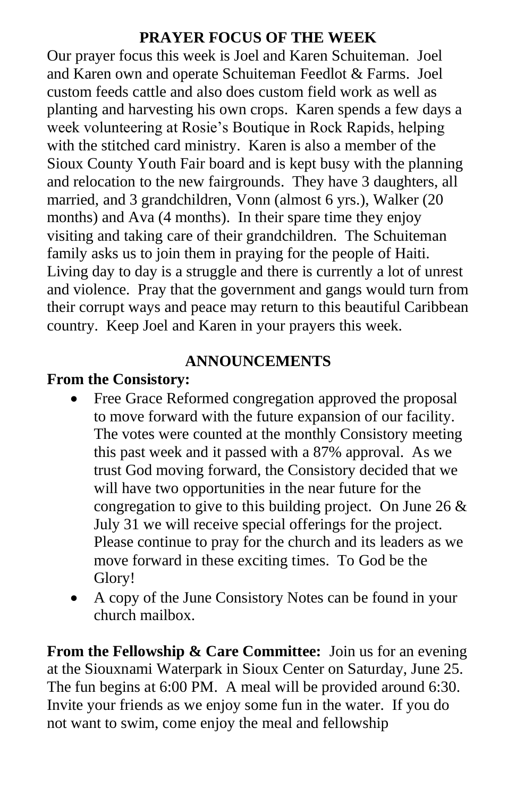#### **PRAYER FOCUS OF THE WEEK**

Our prayer focus this week is Joel and Karen Schuiteman. Joel and Karen own and operate Schuiteman Feedlot & Farms. Joel custom feeds cattle and also does custom field work as well as planting and harvesting his own crops. Karen spends a few days a week volunteering at Rosie's Boutique in Rock Rapids, helping with the stitched card ministry. Karen is also a member of the Sioux County Youth Fair board and is kept busy with the planning and relocation to the new fairgrounds. They have 3 daughters, all married, and 3 grandchildren, Vonn (almost 6 yrs.), Walker (20 months) and Ava (4 months). In their spare time they enjoy visiting and taking care of their grandchildren. The Schuiteman family asks us to join them in praying for the people of Haiti. Living day to day is a struggle and there is currently a lot of unrest and violence. Pray that the government and gangs would turn from their corrupt ways and peace may return to this beautiful Caribbean country. Keep Joel and Karen in your prayers this week.

#### **ANNOUNCEMENTS**

## **From the Consistory:**

- Free Grace Reformed congregation approved the proposal to move forward with the future expansion of our facility. The votes were counted at the monthly Consistory meeting this past week and it passed with a 87% approval. As we trust God moving forward, the Consistory decided that we will have two opportunities in the near future for the congregation to give to this building project. On June 26  $\&$ July 31 we will receive special offerings for the project. Please continue to pray for the church and its leaders as we move forward in these exciting times. To God be the Glory!
- A copy of the June Consistory Notes can be found in your church mailbox.

**From the Fellowship & Care Committee:** Join us for an evening at the Siouxnami Waterpark in Sioux Center on Saturday, June 25. The fun begins at 6:00 PM. A meal will be provided around 6:30. Invite your friends as we enjoy some fun in the water. If you do not want to swim, come enjoy the meal and fellowship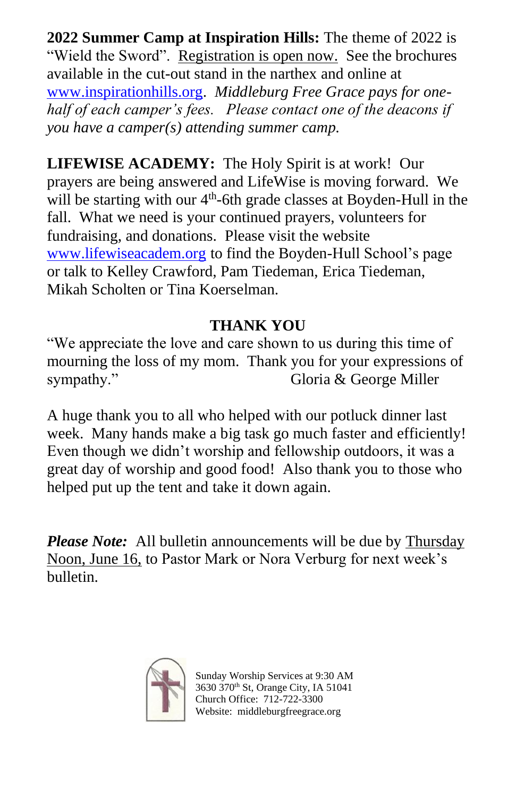**2022 Summer Camp at Inspiration Hills:** The theme of 2022 is "Wield the Sword". Registration is open now. See the brochures available in the cut-out stand in the narthex and online at [www.inspirationhills.org.](http://www.inspirationhills.org/) *Middleburg Free Grace pays for onehalf of each camper's fees. Please contact one of the deacons if you have a camper(s) attending summer camp.* 

**LIFEWISE ACADEMY:** The Holy Spirit is at work! Our prayers are being answered and LifeWise is moving forward. We will be starting with our 4<sup>th</sup>-6th grade classes at Boyden-Hull in the fall. What we need is your continued prayers, volunteers for fundraising, and donations. Please visit the website [www.lifewiseacadem.org](http://www.lifewiseacadem.org/) to find the Boyden-Hull School's page or talk to Kelley Crawford, Pam Tiedeman, Erica Tiedeman, Mikah Scholten or Tina Koerselman.

# **THANK YOU**

"We appreciate the love and care shown to us during this time of mourning the loss of my mom. Thank you for your expressions of sympathy." Gloria & George Miller

A huge thank you to all who helped with our potluck dinner last week. Many hands make a big task go much faster and efficiently! Even though we didn't worship and fellowship outdoors, it was a great day of worship and good food! Also thank you to those who helped put up the tent and take it down again.

*Please Note:* All bulletin announcements will be due by **Thursday** Noon, June 16, to Pastor Mark or Nora Verburg for next week's bulletin.



 Sunday Worship Services at 9:30 AM 3630 370th St, Orange City, IA 51041 Church Office: 712-722-3300 Website: middleburgfreegrace.org